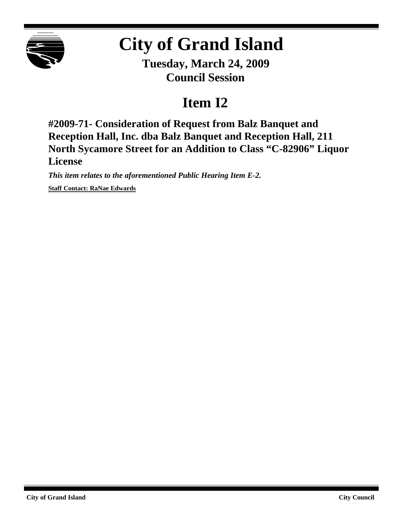

## **City of Grand Island**

**Tuesday, March 24, 2009 Council Session**

## **Item I2**

**#2009-71- Consideration of Request from Balz Banquet and Reception Hall, Inc. dba Balz Banquet and Reception Hall, 211 North Sycamore Street for an Addition to Class "C-82906" Liquor License**

*This item relates to the aforementioned Public Hearing Item E-2.* **Staff Contact: RaNae Edwards**